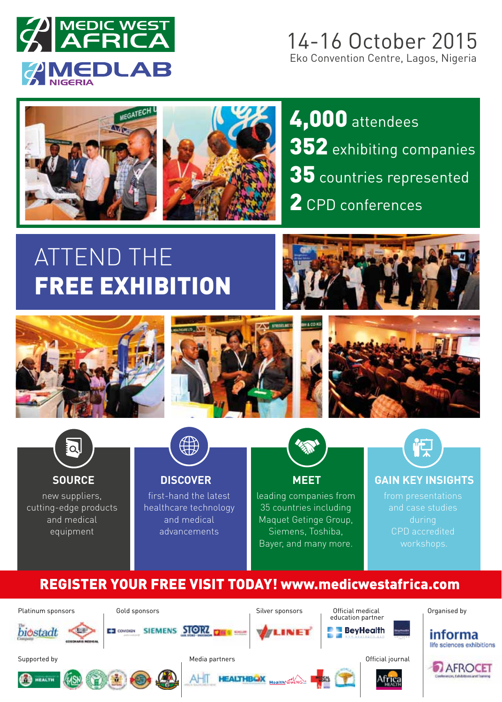

## 14-16 October 2015 Eko Convention Centre, Lagos, Nigeria



4,000 attendees 352 exhibiting companies 35 countries represented 2 CPD conferences

# ATTEND THE FREE EXHIBITION











new suppliers, cutting-edge products and medical equipment

first-hand the latest healthcare technology and medical advancements

leading companies from 35 countries including Maquet Getinge Group, Siemens, Toshiba, Bayer, and many more.

## **SOURCE DISCOVER MEET GAIN KEY INSIGHTS**

and case studies during CPD accredited workshops.

# REGISTER YOUR FREE VISIT TODAY! www.medicwestafrica.com

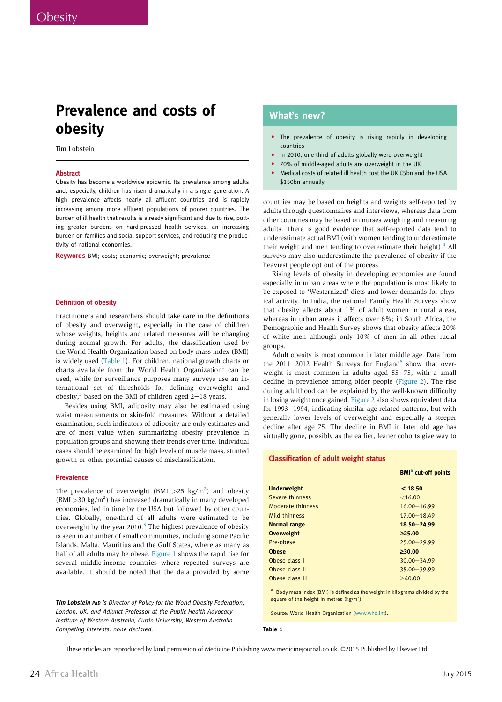## Prevalence and costs of obesity

Tim Lobstein

### Abstract

Obesity has become a worldwide epidemic. Its prevalence among adults and, especially, children has risen dramatically in a single generation. A high prevalence affects nearly all affluent countries and is rapidly increasing among more affluent populations of poorer countries. The burden of ill health that results is already significant and due to rise, putting greater burdens on hard-pressed health services, an increasing burden on families and social support services, and reducing the productivity of national economies.

Keywords BMI; costs; economic; overweight; prevalence

#### Definition of obesity

Practitioners and researchers should take care in the definitions of obesity and overweight, especially in the case of children whose weights, heights and related measures will be changing during normal growth. For adults, the classification used by the World Health Organization based on body mass index (BMI) is widely used (Table 1). For children, national growth charts or charts available from the World Health Organization<sup>1</sup> can be used, while for surveillance purposes many surveys use an international set of thresholds for defining overweight and obesity,<sup>2</sup> based on the BMI of children aged  $2-18$  years.

Besides using BMI, adiposity may also be estimated using waist measurements or skin-fold measures. Without a detailed examination, such indicators of adiposity are only estimates and are of most value when summarizing obesity prevalence in population groups and showing their trends over time. Individual cases should be examined for high levels of muscle mass, stunted growth or other potential causes of misclassification.

#### Prevalence

The prevalence of overweight (BMI  $>$ 25 kg/m<sup>2</sup>) and obesity  $(BMI > 30 \text{ kg/m}^2)$  has increased dramatically in many developed economies, led in time by the USA but followed by other countries. Globally, one-third of all adults were estimated to be overweight by the year  $2010<sup>3</sup>$  The highest prevalence of obesity is seen in a number of small communities, including some Pacific Islands, Malta, Mauritius and the Gulf States, where as many as half of all adults may be obese. Figure 1 shows the rapid rise for several middle-income countries where repeated surveys are available. It should be noted that the data provided by some

Tim Lobstein PhD is Director of Policy for the World Obesity Federation, London, UK, and Adjunct Professor at the Public Health Advocacy Institute of Western Australia, Curtin University, Western Australia. Competing interests: none declared.

## What's new?

- $\bullet$  The prevalence of obesity is rising rapidly in developing countries
- In 2010, one-third of adults globally were overweight
- 70% of middle-aged adults are overweight in the UK
- Medical costs of related ill health cost the UK £5bn and the USA \$150bn annually

countries may be based on heights and weights self-reported by adults through questionnaires and interviews, whereas data from other countries may be based on nurses weighing and measuring adults. There is good evidence that self-reported data tend to underestimate actual BMI (with women tending to underestimate their weight and men tending to overestimate their height).<sup>4</sup> All surveys may also underestimate the prevalence of obesity if the heaviest people opt out of the process.

Rising levels of obesity in developing economies are found especially in urban areas where the population is most likely to be exposed to 'Westernized' diets and lower demands for physical activity. In India, the national Family Health Surveys show that obesity affects about 1% of adult women in rural areas, whereas in urban areas it affects over 6%; in South Africa, the Demographic and Health Survey shows that obesity affects 20% of white men although only 10% of men in all other racial groups.

Adult obesity is most common in later middle age. Data from the 2011-2012 Health Surveys for England<sup>5</sup> show that overweight is most common in adults aged  $55-75$ , with a small decline in prevalence among older people (Figure 2). The rise during adulthood can be explained by the well-known difficulty in losing weight once gained. Figure 2 also shows equivalent data for 1993-1994, indicating similar age-related patterns, but with generally lower levels of overweight and especially a steeper decline after age 75. The decline in BMI in later old age has virtually gone, possibly as the earlier, leaner cohorts give way to

#### Classification of adult weight status

|                     | <b>BMI<sup>a</sup></b> cut-off points |
|---------------------|---------------------------------------|
| <b>Underweight</b>  | < 18.50                               |
| Severe thinness     | < 16.00                               |
| Moderate thinness   | $16.00 - 16.99$                       |
| Mild thinness       | $17.00 - 18.49$                       |
| <b>Normal range</b> | $18.50 - 24.99$                       |
| <b>Overweight</b>   | $\geq 25.00$                          |
| Pre-obese           | $25.00 - 29.99$                       |
| <b>Obese</b>        | >30.00                                |
| Obese class I       | $30.00 - 34.99$                       |
| Obese class II      | $35.00 - 39.99$                       |
| Obese class III     | >40.00                                |

<sup>a</sup> Body mass index (BMI) is defined as the weight in kilograms divided by the square of the height in metres  $(kg/m<sup>2</sup>)$ .

Source: World Health Organization (www.who.int).

#### Table 1

These articles are reproduced by kind permission of Medicine Publishing www.medicinejournal.co.uk. ©2015 Published by Elsevier Ltd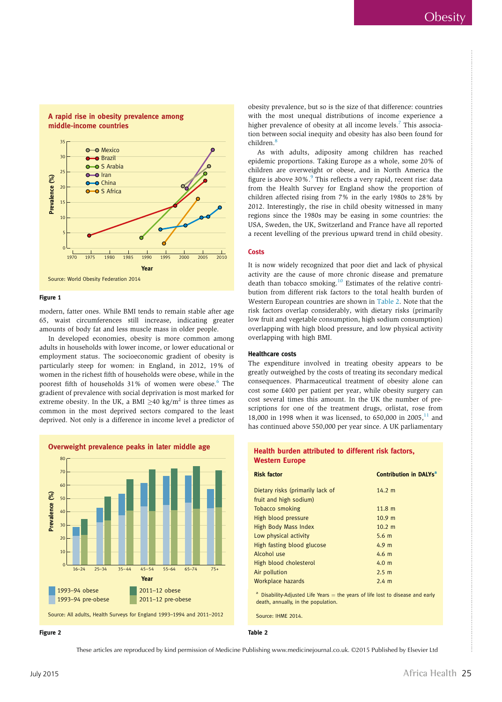



#### Figure 1

modern, fatter ones. While BMI tends to remain stable after age 65, waist circumferences still increase, indicating greater amounts of body fat and less muscle mass in older people.

In developed economies, obesity is more common among adults in households with lower income, or lower educational or employment status. The socioeconomic gradient of obesity is particularly steep for women: in England, in 2012, 19% of women in the richest fifth of households were obese, while in the poorest fifth of households 31% of women were obese.<sup>6</sup> The gradient of prevalence with social deprivation is most marked for extreme obesity. In the UK, a BMI  $>40$  kg/m<sup>2</sup> is three times as common in the most deprived sectors compared to the least deprived. Not only is a difference in income level a predictor of



Figure 2

obesity prevalence, but so is the size of that difference: countries with the most unequal distributions of income experience a higher prevalence of obesity at all income levels.<sup>7</sup> This association between social inequity and obesity has also been found for  $childron<sup>8</sup>$ 

As with adults, adiposity among children has reached epidemic proportions. Taking Europe as a whole, some 20% of children are overweight or obese, and in North America the figure is above 30%.<sup>9</sup> This reflects a very rapid, recent rise: data from the Health Survey for England show the proportion of children affected rising from 7% in the early 1980s to 28% by 2012. Interestingly, the rise in child obesity witnessed in many regions since the 1980s may be easing in some countries: the USA, Sweden, the UK, Switzerland and France have all reported a recent levelling of the previous upward trend in child obesity.

#### Costs

It is now widely recognized that poor diet and lack of physical activity are the cause of more chronic disease and premature death than tobacco smoking.<sup>10</sup> Estimates of the relative contribution from different risk factors to the total health burden of Western European countries are shown in Table 2. Note that the risk factors overlap considerably, with dietary risks (primarily low fruit and vegetable consumption, high sodium consumption) overlapping with high blood pressure, and low physical activity overlapping with high BMI.

#### Healthcare costs

The expenditure involved in treating obesity appears to be greatly outweighed by the costs of treating its secondary medical consequences. Pharmaceutical treatment of obesity alone can cost some £400 per patient per year, while obesity surgery can cost several times this amount. In the UK the number of prescriptions for one of the treatment drugs, orlistat, rose from 18,000 in 1998 when it was licensed, to 650,000 in 2005, $^{11}$  and has continued above 550,000 per year since. A UK parliamentary

#### Health burden attributed to different risk factors, Western Europe

| <b>Risk factor</b>                                                                                                                                                                                                                | <b>Contribution in DALYs<sup>a</sup></b> |
|-----------------------------------------------------------------------------------------------------------------------------------------------------------------------------------------------------------------------------------|------------------------------------------|
| Dietary risks (primarily lack of                                                                                                                                                                                                  | $14.2 \text{ m}$                         |
| fruit and high sodium)                                                                                                                                                                                                            |                                          |
| <b>Tobacco smoking</b>                                                                                                                                                                                                            | 11.8 <sub>m</sub>                        |
| High blood pressure                                                                                                                                                                                                               | 10.9 <sub>m</sub>                        |
| High Body Mass Index                                                                                                                                                                                                              | $10.2 \text{ m}$                         |
| Low physical activity                                                                                                                                                                                                             | 5.6 <sub>m</sub>                         |
| High fasting blood glucose                                                                                                                                                                                                        | 4.9 <sub>m</sub>                         |
| Alcohol use                                                                                                                                                                                                                       | 4.6 <sub>m</sub>                         |
| High blood cholesterol                                                                                                                                                                                                            | 4.0 <sub>m</sub>                         |
| Air pollution                                                                                                                                                                                                                     | 2.5 <sub>m</sub>                         |
| Workplace hazards                                                                                                                                                                                                                 | $2.4 \text{ m}$                          |
| $\mathbf{a}$ . The state of the state of the state of the state of the state of the state of the state of the state of the state of the state of the state of the state of the state of the state of the state of the state of th |                                          |

Disability-Adjusted Life Years  $=$  the years of life lost to disease and early death, annually, in the population.

Source: IHME 2014.

#### Table 2

These articles are reproduced by kind permission of Medicine Publishing www.medicinejournal.co.uk. ©2015 Published by Elsevier Ltd